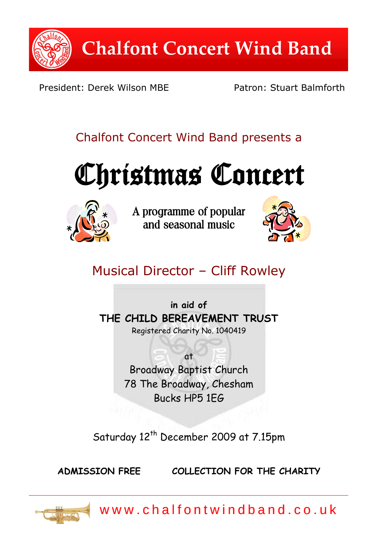

President: Derek Wilson MBF Patron: Stuart Balmforth

# Chalfont Concert Wind Band presents a





A programme of popular and seasonal music



# Musical Director – Cliff Rowley

**in aid of THE CHILD BEREAVEMENT TRUST** Registered Charity No. 1040419

> at Broadway Baptist Church 78 The Broadway, Chesham Bucks HP5 1EG

Saturday 12<sup>th</sup> December 2009 at 7.15pm

**ADMISSION FREE COLLECTION FOR THE CHARITY**



w w w . c h a l f o n t w i n d b a n d . c o . u k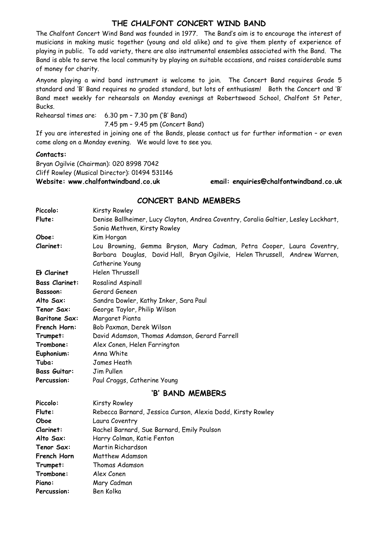### **THE CHALFONT CONCERT WIND BAND**

The Chalfont Concert Wind Band was founded in 1977. The Band's aim is to encourage the interest of musicians in making music together (young and old alike) and to give them plenty of experience of playing in public. To add variety, there are also instrumental ensembles associated with the Band. The Band is able to serve the local community by playing on suitable occasions, and raises considerable sums of money for charity.

Anyone playing a wind band instrument is welcome to join. The Concert Band requires Grade 5 standard and 'B' Band requires no graded standard, but lots of enthusiasm! Both the Concert and 'B' Band meet weekly for rehearsals on Monday evenings at Robertswood School, Chalfont St Peter, Bucks.

Rehearsal times are: 6.30 pm – 7.30 pm ('B' Band) 7.45 pm – 9.45 pm (Concert Band)

If you are interested in joining one of the Bands, please contact us for further information – or even come along on a Monday evening. We would love to see you.

#### **Contacts:**

Bryan Ogilvie (Chairman): 020 8998 7042 Cliff Rowley (Musical Director): 01494 531146

**Piano:** Mary Cadman Percussion: Ben Kolka

**Website: www.chalfontwindband.co.uk email: enquiries@chalfontwindband.co.uk** 

### **CONCERT BAND MEMBERS**

| Piccolo:              | Kirsty Rowley                                                                       |
|-----------------------|-------------------------------------------------------------------------------------|
| Flute:                | Denise Ballheimer, Lucy Clayton, Andrea Coventry, Coralia Galtier, Lesley Lockhart, |
|                       | Sonia Methven, Kirsty Rowley                                                        |
| Oboe:                 | Kim Horgan                                                                          |
| Clarinet:             | Lou Browning, Gemma Bryson, Mary Cadman, Petra Cooper, Laura Coventry,              |
|                       | Barbara Douglas, David Hall, Bryan Ogilvie, Helen Thrussell, Andrew Warren,         |
|                       | Catherine Young                                                                     |
| Eb Clarinet           | Helen Thrussell                                                                     |
| <b>Bass Clarinet:</b> | Rosalind Aspinall                                                                   |
| Bassoon:              | Gerard Geneen                                                                       |
| Alto Sax:             | Sandra Dowler, Kathy Inker, Sara Paul                                               |
| Tenor Sax:            | George Taylor, Philip Wilson                                                        |
| <b>Baritone Sax:</b>  | Margaret Pianta                                                                     |
| French Horn:          | Bob Paxman, Derek Wilson                                                            |
| Trumpet:              | David Adamson, Thomas Adamson, Gerard Farrell                                       |
| Trombone:             | Alex Conen, Helen Farrington                                                        |
| Euphonium:            | Anna White                                                                          |
| Tuba:                 | James Heath                                                                         |
| <b>Bass Guitar:</b>   | Jim Pullen                                                                          |
| Percussion:           | Paul Craggs, Catherine Young                                                        |
| 'B' BAND MEMBERS      |                                                                                     |
| Piccolo:              | Kirsty Rowley                                                                       |
| Flute:                | Rebecca Barnard, Jessica Curson, Alexia Dodd, Kirsty Rowley                         |
| Oboe                  | Laura Coventry                                                                      |
| Clarinet:             | Rachel Barnard, Sue Barnard, Emily Poulson                                          |
| Alto Sax:             | Harry Colman, Katie Fenton                                                          |
| Tenor Sax:            | Martin Richardson                                                                   |
| French Horn           | Matthew Adamson                                                                     |
| Trumpet:              | Thomas Adamson                                                                      |
| Trombone:             | Alex Conen                                                                          |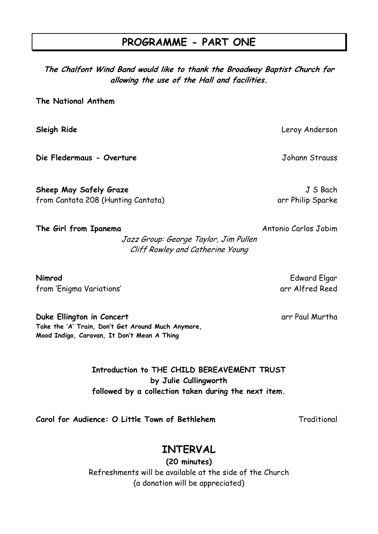# **PROGRAMME - PART ONE**

**The Chalfont Wind Band would like to thank the Broadway Baptist Church for allowing the use of the Hall and facilities.**

**The National Anthem**

**Sleigh Ride** Leroy Anderson

**Die Fledermaus - Overture** Johann Strauss

**Sheep May Safely Graze J S Bach** from Cantata 208 (Hunting Cantata) arr Philip Sparke

Jazz Group: George Taylor, Jim Pullen Cliff Rowley and Catherine Young

**Nimrod** Edward Elgar from 'Enigma Variations' arr Alfred Reed

**Duke Ellington in Concert** and The Constanting of the Constanting arr Paul Murtha **Take the 'A' Train, Don't Get Around Much Anymore, Mood Indigo, Caravan, It Don't Mean A Thing**

> **Introduction to THE CHILD BEREAVEMENT TRUST by Julie Cullingworth followed by a collection taken during the next item.**

**Carol for Audience: O Little Town of Bethlehem** Traditional

# **INTERVAL**

**(20 minutes)** Refreshments will be available at the side of the Church (a donation will be appreciated)

**The Girl from Ipanema Antonio Carlos Jobim**